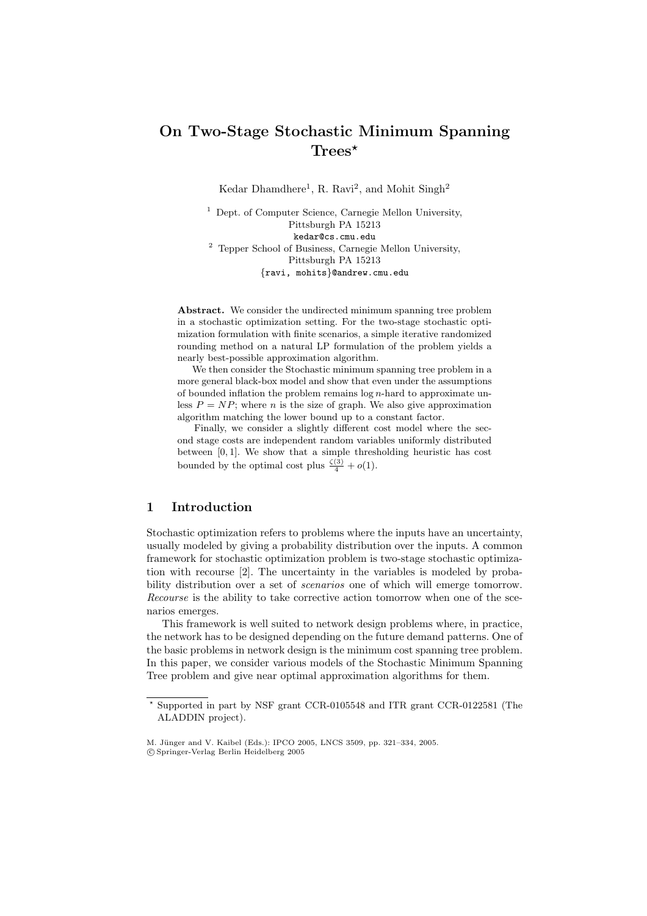# **On Two-Stage Stochastic Minimum Spanning Trees**

Kedar Dhamdhere<sup>1</sup>, R. Ravi<sup>2</sup>, and Mohit Singh<sup>2</sup>

<sup>1</sup> Dept. of Computer Science, Carnegie Mellon University, Pittsburgh PA 15213 kedar@cs.cmu.edu <sup>2</sup> Tepper School of Business, Carnegie Mellon University, Pittsburgh PA 15213 *{*ravi, mohits*}*@andrew.cmu.edu

**Abstract.** We consider the undirected minimum spanning tree problem in a stochastic optimization setting. For the two-stage stochastic optimization formulation with finite scenarios, a simple iterative randomized rounding method on a natural LP formulation of the problem yields a nearly best-possible approximation algorithm.

We then consider the Stochastic minimum spanning tree problem in a more general black-box model and show that even under the assumptions of bounded inflation the problem remains log *n*-hard to approximate unless  $P = NP$ ; where *n* is the size of graph. We also give approximation algorithm matching the lower bound up to a constant factor.

Finally, we consider a slightly different cost model where the second stage costs are independent random variables uniformly distributed between [0*,* 1]. We show that a simple thresholding heuristic has cost bounded by the optimal cost plus  $\frac{\zeta(3)}{4} + o(1)$ .

#### **1 Introduction**

Stochastic optimization refers to problems where the inputs have an uncertainty, usually modeled by giving a probability distribution over the inputs. A common framework for stochastic optimization problem is two-stage stochastic optimization with recourse [2]. The uncertainty in the variables is modeled by probability distribution over a set of *scenarios* one of which will emerge tomorrow. *Recourse* is the ability to take corrective action tomorrow when one of the scenarios emerges.

This framework [is](#page-10-0) well suited to network design problems where, in practice, the network has to be designed depending on the future demand patterns. One of the basic problems in network design is the minimum cost spanning tree problem. In this paper, we consider various models of the Stochastic Minimum Spanning Tree problem and give near optimal approximation algorithms for them.

<sup>-</sup> Supported in part by NSF grant CCR-0105548 and ITR grant CCR-0122581 (The ALADDIN project).

M. Jünger and V. Kaibel (Eds.): IPCO 2005, LNCS 3509, pp. 321-334, 2005.

c Springer-Verlag Berlin Heidelberg 2005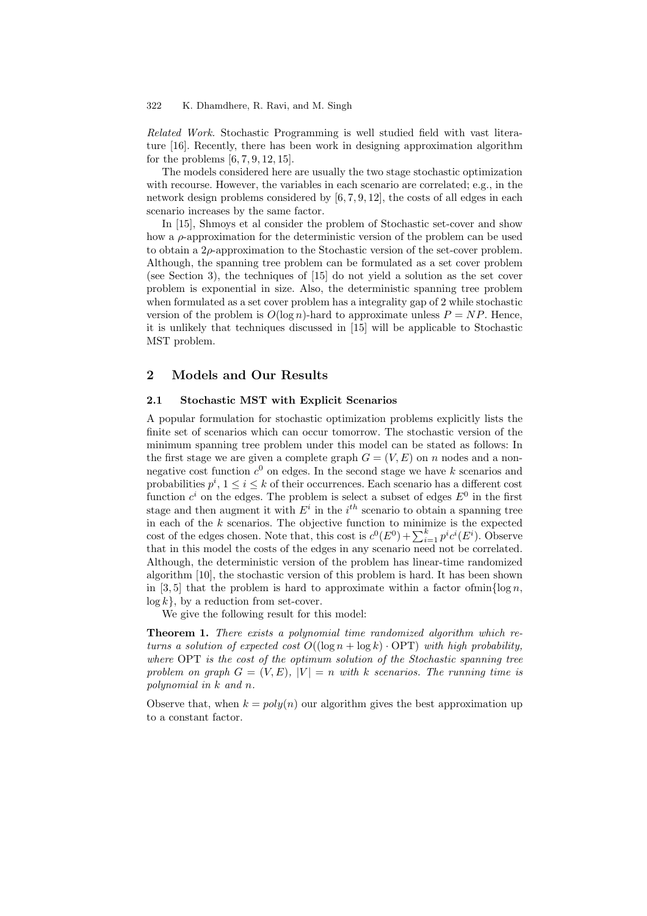*Related Work.* Stochastic Programming is well studied field with vast literature [16]. Recently, there has been work in designing approximation algorithm for the problems  $[6, 7, 9, 12, 15]$ .

The models considered here are usually the two stage stochastic optimization with recourse. However, the variables in each scenario are correlated; e.g., in the netw[ork](#page-11-0) design problems considered by [6, 7, 9, 12], the costs of all edges in each scenario increases [b](#page-10-1)[y](#page-10-2) [th](#page-10-3)[e sa](#page-10-4)[me](#page-11-1) factor.

In [15], Shmoys et al consider the problem of Stochastic set-cover and show how a  $\rho$ -approximation for the deterministic version of the problem can be used to obtain a  $2\rho$ -approximation to the Sto[ch](#page-10-1)[as](#page-10-2)[tic](#page-10-3) [ver](#page-10-4)sion of the set-cover problem. Although, the spanning tree problem can be formulated as a set cover problem (see S[ecti](#page-11-1)on 3), the techniques of [15] do not yield a solution as the set cover problem is exponential in size. Also, the deterministic spanning tree problem when formulated as a set cover problem has a integrality gap of 2 while stochastic version of the problem is  $O(\log n)$ -hard to approximate unless  $P = NP$ . Hence, it is unlikel[y t](#page-3-0)hat techniques disc[usse](#page-11-1)d in [15] will be applicable to Stochastic MST problem.

#### **2 Models and Our Results**

#### **2.1 Stochastic MST with Explicit Scenarios**

A popular formulation for stochastic optimization problems explicitly lists the finite set of scenarios which can occur tomorrow. The stochastic version of the minimum spanning tree problem under this model can be stated as follows: In the first stage we are given a complete graph  $G = (V, E)$  on n nodes and a nonnegative cost function  $c^0$  on edges. In the second stage we have k scenarios and probabilities  $p^i$ ,  $1 \leq i \leq k$  of their occurrences. Each scenario has a different cost function  $c^i$  on the edges. The problem is select a subset of edges  $E^0$  in the first stage and then augment it with  $E^i$  in the  $i^{th}$  scenario to obtain a spanning tree in each of the  $k$  scenarios. The objective function to minimize is the expected cost of the edges chosen. Note that, this cost is  $c^0(E^0) + \sum_{i=1}^k p^i c^i(E^i)$ . Observe that in this model the costs of the edges in any scenario need not be correlated. Although, the deterministic version of the problem has linear-time randomized algorithm [10], the stochastic version of this problem is hard. It has been shown in [3, 5] that the problem is hard to approximate within a factor of min $\log n$ ,  $log k$ , by a reduction from set-cover.

<span id="page-1-0"></span>We give the following result for this model:

**Theorem [1.](#page-10-5)** *There exists a polynomial time randomized algorithm which retur[ns](#page-10-6)* [a](#page-10-7) solution of expected cost  $O((\log n + \log k) \cdot \text{OPT})$  with high probability, *where* OPT *is the cost of the optimum solution of the Stochastic spanning tree* problem on graph  $G = (V, E)$ ,  $|V| = n$  with k scenarios. The running time is *polynomial in* k *and* n*.*

Observe that, when  $k = poly(n)$  our algorithm gives the best approximation up to a constant factor.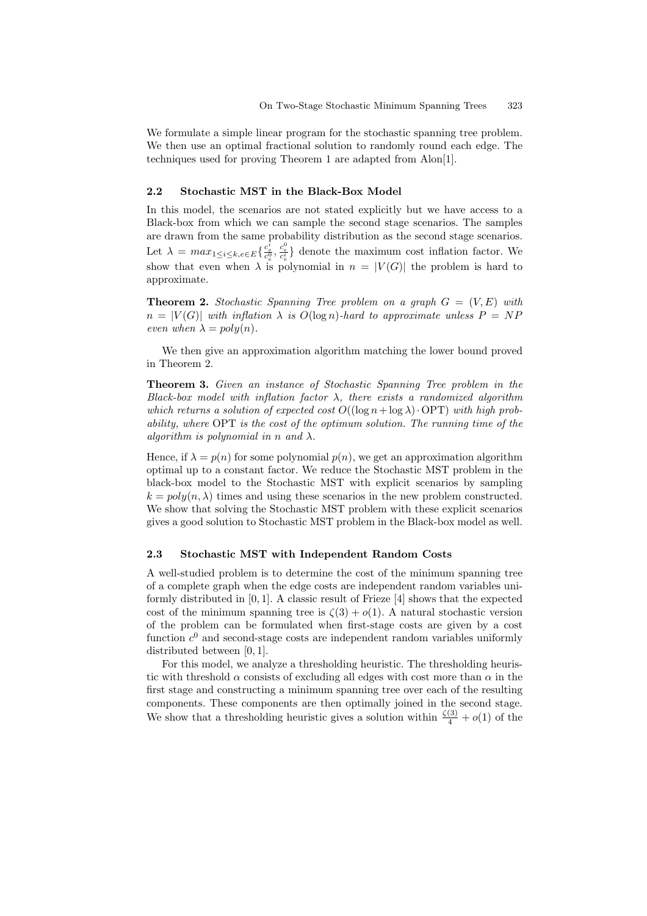We formulate a simple linear program for the stochastic spanning tree problem. We then use an optimal fractional solution to randomly round each edge. The techniques used for proving Theorem 1 are adapted from Alon[1].

#### **2.2 Stochastic MST in the Black-Box Model**

In this model, the scenarios are not [st](#page-1-0)ated explicitly but we [ha](#page-10-8)ve access to a Black-box from which we can sample the second stage scenarios. The samples are drawn from the same probability distribution as the second stage scenarios. Let  $\lambda = max_{1 \leq i \leq k, e \in E} \{ \frac{c_e^i}{c_e^0}, \frac{c_e^0}{c_e^i} \}$  denote the maximum cost inflation factor. We show that even when  $\lambda$  is polynomial in  $n = |V(G)|$  the problem is hard to approximate.

**Theorem 2.** *Stochastic Spanning Tree problem on a graph*  $G = (V, E)$  *with*  $n = |V(G)|$  with inflation  $\lambda$  is  $O(\log n)$ -hard to approximate unless  $P = NP$ *even when*  $\lambda = poly(n)$ *.* 

<span id="page-2-0"></span>We then give an approximation algorithm matching the lower bound proved in Theorem 2.

**Theorem 3.** *Given an instance of Stochastic Spanning Tree problem in the Black-box model with inflation factor* λ*, there exists a randomized algorithm which returns a solution of expected cost*  $O((\log n + \log \lambda) \cdot \text{OPT})$  *with high probability, whe[re](#page-2-0)* OPT *is the cost of the optimum solution. The running time of the algorithm is polynomial in* n *and*  $\lambda$ .

Hence, if  $\lambda = p(n)$  for some polynomial  $p(n)$ , we get an approximation algorithm optimal up to a constant factor. We reduce the Stochastic MST problem in the black-box model to the Stochastic MST with explicit scenarios by sampling  $k = poly(n, \lambda)$  times and using these scenarios in the new problem constructed. We show that solving the Stochastic MST problem with these explicit scenarios gives a good solution to Stochastic MST problem in the Black-box model as well.

#### **2.3 Stochastic MST with Independent Random Costs**

A well-studied problem is to determine the cost of the minimum spanning tree of a complete graph when the edge costs are independent random variables uniformly distributed in [0, 1]. A classic result of Frieze [4] shows that the expected cost of the minimum spanning tree is  $\zeta(3) + o(1)$ . A natural stochastic version of the problem can be formulated when first-stage costs are given by a cost function  $c^0$  and second-stage costs are independent random variables uniformly distributed between [0, 1].

For this model, we analyze a thresholding heuristic. The thresholding heuristic with threshold  $\alpha$  consists of excluding all edges with cost more than  $\alpha$  in the first stage and constructing a minimum spanning tree over each of the resulting components. These components are then optimally joined in the second stage. We show that a thresholding heuristic gives a solution within  $\frac{\zeta(3)}{4} + o(1)$  of the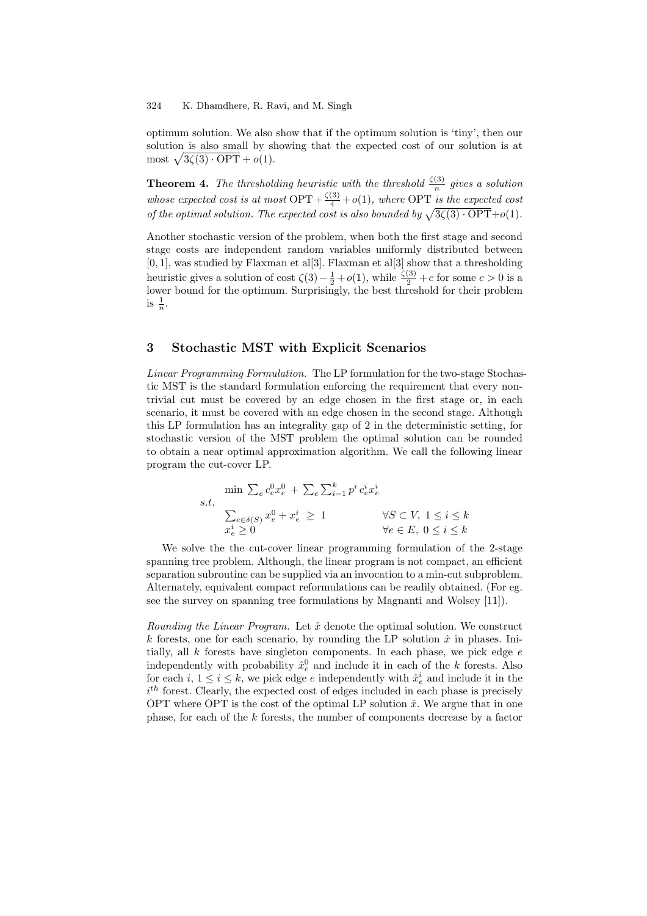optimum solution. We also show that if the optimum solution is 'tiny', then our solution is also small by showing that the expected cost of our solution is at most  $\sqrt{3\zeta(3)\cdot \text{OPT}} + o(1)$ .

**Theorem 4.** *The thresholding heuristic with the threshold*  $\frac{\zeta(3)}{n}$  *gives a solution whose expected cost is at most*  $OPT + \frac{\zeta(3)}{4} + o(1)$ *, where* OPT *is the expected cost of the optimal solution. The expected cost is also bounded by*  $\sqrt{3\zeta(3)\cdot OPT} + o(1)$ *.* 

<span id="page-3-1"></span>Another stochastic version of the problem, when both the first stage and second stage costs are independent random variables uniformly distributed between  $[0, 1]$ , was studied by Flaxman et al $[3]$ . Flaxman et al $[3]$  show that a thresholding heuristic gives a solution of cost  $\zeta(3) - \frac{1}{2} + o(1)$ , while  $\frac{\zeta(3)}{2} + c$  for some  $c > 0$  is a lower bound for the optimum. Surprisingly, the best threshold for their problem is  $\frac{1}{n}$ .

## **3 Stochastic MST with Explicit Scenarios**

<span id="page-3-0"></span>*Linear Programming Formulation.* The LP formulation for the two-stage Stochastic MST is the standard formulation enforcing the requirement that every nontrivial cut must be covered by an edge chosen in the first stage or, in each scenario, it must be covered with an edge chosen in the second stage. Although this LP formulation has an integrality gap of 2 in the deterministic setting, for stochastic version of the MST problem the optimal solution can be rounded to obtain a near optimal approximation algorithm. We call the following linear program the cut-cover LP.

$$
\begin{aligned}\n\min \sum_{e} c_e^0 x_e^0 + \sum_{e} \sum_{i=1}^k p^i c_e^i x_e^i \\
s.t. \quad \sum_{e \in \delta(S)} x_e^0 + x_e^i \ge 1 & \forall S \subset V, \ 1 \le i \le k \\
x_e^i \ge 0 & \forall e \in E, \ 0 \le i \le k\n\end{aligned}
$$

We solve the the cut-cover linear programming formulation of the 2-stage spanning tree problem. Although, the linear program is not compact, an efficient separation subroutine can be supplied via an invocation to a min-cut subproblem. Alternately, equivalent compact reformulations can be readily obtained. (For eg. see the survey on spanning tree formulations by Magnanti and Wolsey [11]).

*Rounding the Linear Program.* Let  $\hat{x}$  denote the optimal solution. We construct k forests, one for each scenario, by rounding the LP solution  $\hat{x}$  in phases. Initially, all  $k$  forests have singleton components. In each phase, we pic[k ed](#page-10-9)ge  $e$ independently with probability  $\hat{x}^0_e$  and include it in each of the k forests. Also for each  $i, 1 \leq i \leq k$ , we pick edge e independently with  $\hat{x}_e^i$  and include it in the  $i<sup>th</sup>$  forest. Clearly, the expected cost of edges included in each phase is precisely OPT where OPT is the cost of the optimal LP solution  $\hat{x}$ . We argue that in one phase, for each of the k forests, the number of components decrease by a factor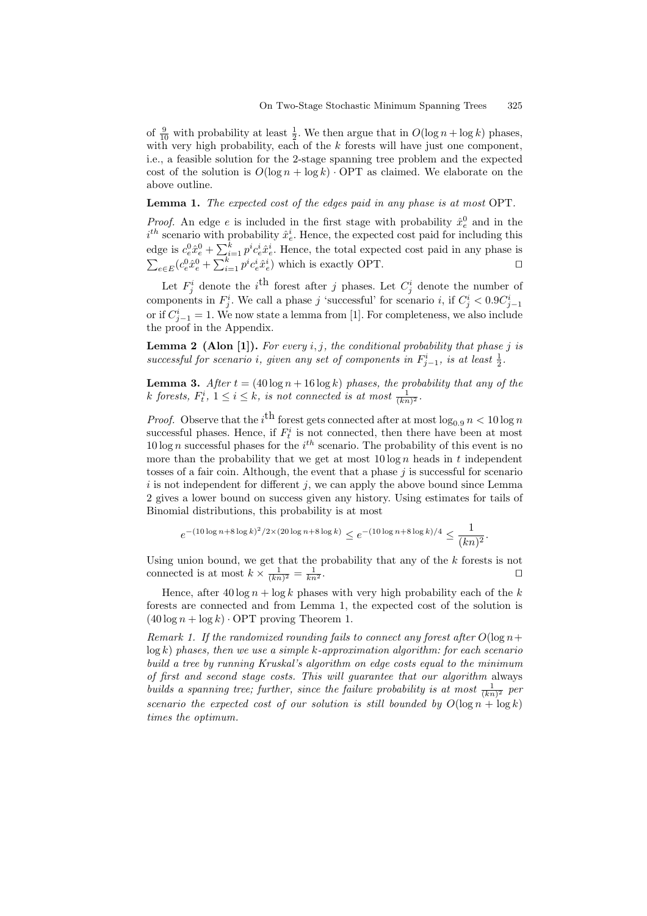of  $\frac{9}{10}$  with probability at least  $\frac{1}{2}$ . We then argue that in  $O(\log n + \log k)$  phases, with very high probability, each of the  $k$  forests will have just one component, i.e., a feasible solution for the 2-stage spanning tree problem and the expected cost of the solution is  $O(\log n + \log k) \cdot \text{OPT}$  as claimed. We elaborate on the above outline.

**Lemma 1.** *The expected cost of the edges paid in any phase is at most* OPT*.*

<span id="page-4-1"></span>*Proof.* An edge *e* is included in the first stage with probability  $\hat{x}_e^0$  and in the  $i^{th}$  scenario with probability  $\hat{x}_e^i$ . Hence, the expected cost paid for including this edge is  $c_e^0 \hat{x}_e^0 + \sum_{i=1}^k p^i c_e^i \hat{x}_e^i$ . Hence, the total expected cost paid in any phase is  $\sum_{e \in E} (c_e^0 \hat{x}_e^0 + \sum_{i=1}^k p^i c_e^i \hat{x}_e^i)$  which is exactly OPT.

Let  $F_j^i$  denote the *i*<sup>th</sup> forest after *j* phases. Let  $C_j^i$  denote the number of components in  $F_j^i$ . We call a phase j 'successful' for scenario i, if  $C_j^i < 0.9C_{j-1}^i$ or if  $C_{j-1}^i = 1$ . We now state a lemma from [1]. For completeness, we also include the proof in the Appendix.

**Lemma 2 (Alon [1]).** *For every* i, j*, the conditional probability that phase* j *is successful for scenario i, given any set of c[om](#page-10-8)ponents in*  $F_{j-1}^i$ , is at least  $\frac{1}{2}$ .

<span id="page-4-0"></span>**Lemma 3.** *After*  $t = (40 \log n + 16 \log k)$  *phases, the probability that any of the* k forests,  $F_t^i$ ,  $1 \leq i \leq k$ , is not connected is at most  $\frac{1}{(kn)^2}$ .

*Proof.* Observe that the  $i^{\text{th}}$  forest gets connected after at most  $\log_{0.9} n < 10 \log n$ successful phases. Hence, if  $F_t^i$  is not connected, then there have been at most 10 log n successful phases for the  $i^{th}$  scenario. The probability of this event is no more than the probability that we get at most  $10 \log n$  heads in t independent tosses of a fair coin. Although, the event that a phase  $j$  is successful for scenario  $i$  is not independent for different  $j$ , we can apply the above bound since Lemma 2 gives a lower bound on success given any history. Using estimates for tails of Binomial distributions, this probability is at most

$$
e^{-(10\log n + 8\log k)^2/2 \times (20\log n + 8\log k)} \le e^{-(10\log n + 8\log k)/4} \le \frac{1}{(kn)^2}.
$$

[U](#page-4-0)sing union bound, we get that the probability that any of the  $k$  forests is not connected is at most  $k \times \frac{1}{(kn)^2} = \frac{1}{kn}$  $\frac{1}{kn^2}$ .

Hence, after  $40 \log n + \log k$  phases with very high probability each of the k forests are connected and from Lemma 1, the expected cost of the solution is  $(40 \log n + \log k) \cdot \text{OPT}$  proving Theorem 1.

*Remark 1. If the randomized rounding fails to connect any forest after*  $O(\log n +$ log k) *phases, then we use a simple* k*-approximation algorithm: for each scenario build a tree by running Kruskal's algorit[hm](#page-4-1) on edge costs equal to the minimum of first and second stage costs. This will [g](#page-1-0)uarantee that our algorithm* always *builds a spanning tree; further, since the failure probability is at most*  $\frac{1}{(kn)^2}$  *per scenario the expected cost of our solution is still bounded by*  $O(\log n + \log k)$ *times the optimum.*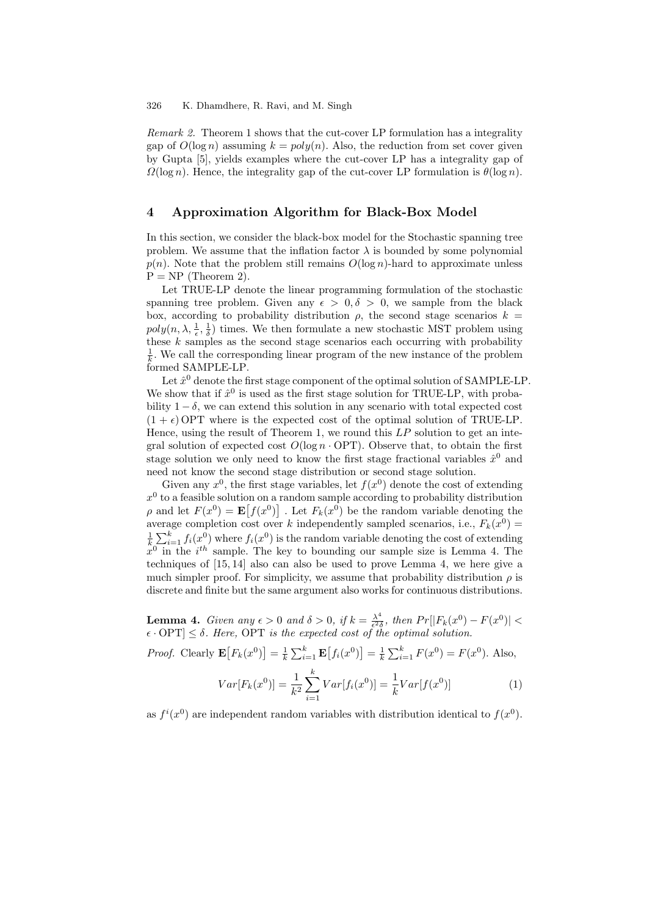*Remark 2.* Theorem 1 shows that the cut-cover LP formulation has a integrality gap of  $O(\log n)$  assuming  $k = poly(n)$ . Also, the reduction from set cover given by Gupta [5], yields examples where the cut-cover LP has a integrality gap of  $\Omega(\log n)$ . Hence, the integrality gap of the cut-cover LP formulation is  $\theta(\log n)$ .

# **4 Ap[pro](#page-10-7)ximation Algorithm for Black-Box Model**

In this section, we consider the black-box model for the Stochastic spanning tree problem. We assume that the inflation factor  $\lambda$  is bounded by some polynomial  $p(n)$ . Note that the problem still remains  $O(\log n)$ -hard to approximate unless  $P = NP$  (Theorem 2).

Let TRUE-LP denote the linear programming formulation of the stochastic spanning tree problem. Given any  $\epsilon > 0, \delta > 0$ , we sample from the black box, according to probability distribution  $\rho$ , the second stage scenarios  $k =$  $poly(n, \lambda, \frac{1}{\epsilon}, \frac{1}{\delta})$  ti[mes](#page-2-0). We then formulate a new stochastic MST problem using these  $k$  samples as the second stage scenarios each occurring with probability  $\frac{1}{k}$ . We call the corresponding linear program of the new instance of the problem formed SAMPLE-LP.

Let  $\hat{x}^0$  denote the first stage component of the optimal solution of SAMPLE-LP. We show that if  $\hat{x}^0$  is used as the first stage solution for TRUE-LP, with probability  $1 - \delta$ , we can extend this solution in any scenario with total expected cost  $(1 + \epsilon)$  OPT where is the expected cost of the optimal solution of TRUE-LP. Hence, using the result of Theorem 1, we round this  $LP$  solution to get an integral solution of expected cost  $O(\log n \cdot \text{OPT})$ . Observe that, to obtain the first stage solution we only need to know the first stage fractional variables  $\hat{x}^0$  and need not know the second stage distribution or second stage solution.

Given any  $x^0$ , the first stage var[iab](#page-1-0)les, let  $f(x^0)$  denote the cost of extending  $x<sup>0</sup>$  to a feasible solution on a random sample according to probability distribution  $\rho$  and let  $F(x^0) = \mathbf{E}[f(x^0)]$ . Let  $F_k(x^0)$  be the random variable denoting the average completion cost over k independently sampled scenarios, i.e.,  $F_k(x^0) =$  $\frac{1}{k} \sum_{i=1}^{k} f_i(x_i^0)$  where  $f_i(x^0)$  is the random variable denoting the cost of extending  $x^0$  in the i<sup>th</sup> sample. The key to bounding our sample size is Lemma 4. The techniques of [15, 14] also can also be used to prove Lemma 4, we here give a much simpler proof. For simplicity, we assume that probability distribution  $\rho$  is discrete and finite but the same argument also works for continuous distributions.

**Lemma 4.** *G[ive](#page-11-1)[n an](#page-11-2)y*  $\epsilon > 0$  *and*  $\delta > 0$ , *if*  $k = \frac{\lambda^4}{\epsilon^2 \delta}$ , *then*  $Pr[|F_k(x^0) - F(x^0)| <$  $Pr[|F_k(x^0) - F(x^0)| <$  $Pr[|F_k(x^0) - F(x^0)| <$  $\epsilon \cdot \text{OPT} \leq \delta$ . Here, OPT is the expected cost of the optimal solution.

<span id="page-5-0"></span>*Proof.* Clearly  $\mathbf{E}[F_k(x^0)] = \frac{1}{k} \sum_{i=1}^k \mathbf{E}[f_i(x^0)] = \frac{1}{k} \sum_{i=1}^k F(x^0) = F(x^0)$ . Also,

<span id="page-5-1"></span>
$$
Var[F_k(x^0)] = \frac{1}{k^2} \sum_{i=1}^k Var[f_i(x^0)] = \frac{1}{k} Var[f(x^0)]
$$
\n(1)

as  $f^{i}(x^{0})$  are independent random variables with distribution identical to  $f(x^{0})$ .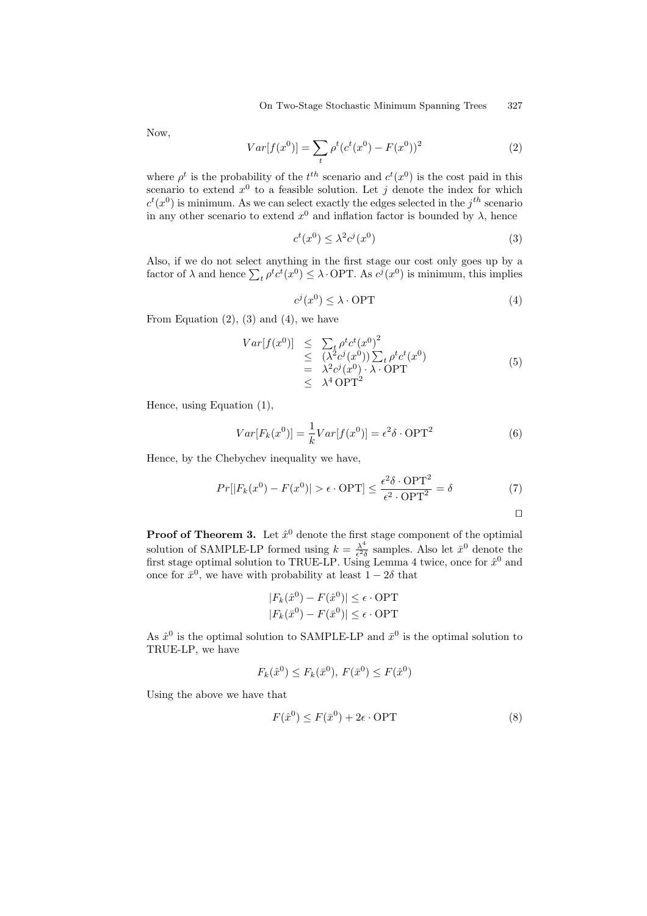Now,

$$
Var[f(x^{0})] = \sum_{t} \rho^{t} (c^{t}(x^{0}) - F(x^{0}))^{2}
$$
 (2)

where  $\rho^t$  is the probability of the  $t^{th}$  scenario and  $c^t(x^0)$  is the cost paid in this scenario to extend  $x^0$  to a feasible solution. Let j denote the index for which  $c^t(x^0)$  is minimum. As we can select exactly the edges selected in the  $j^{th}$  scenario in any other scenario to extend  $x^0$  and inflation factor is bounded by  $\lambda$ , hence

$$
c^t(x^0) \le \lambda^2 c^j(x^0) \tag{3}
$$

Also, if we do not select anything in the first stage our cost only goes up by a factor of  $\lambda$  and hence  $\sum_t \rho^t c^t(x^0) \leq \lambda$ . OPT. As  $c^j(x^0)$  is minimum, this implies

$$
c^j(x^0) \le \lambda \cdot \text{OPT} \tag{4}
$$

From Equation  $(2)$ ,  $(3)$  and  $(4)$ , we have

$$
Var[f(x^0)] \leq \sum_{t} \rho^t c^t (x^0)^2
$$
  
\n
$$
\leq (\lambda^2 c^j (x^0)) \sum_{t} \rho^t c^t (x^0)
$$
  
\n
$$
= \lambda^2 c^j (x^0) \cdot \lambda \cdot \text{OPT}
$$
  
\n
$$
\leq \lambda^4 \text{OPT}^2
$$
 (5)

Hence, using Equation (1),

$$
Var[F_k(x^0)] = \frac{1}{k}Var[f(x^0)] = \epsilon^2 \delta \cdot \text{OPT}^2
$$
 (6)

Hence, by the Chebych[ev](#page-5-1) inequality we have,

$$
Pr[|F_k(x^0) - F(x^0)| > \epsilon \cdot \text{OPT}] \le \frac{\epsilon^2 \delta \cdot \text{OPT}^2}{\epsilon^2 \cdot \text{OPT}^2} = \delta \tag{7}
$$

 $\Box$ 

**Proof of Theorem 3.** Let  $\hat{x}^0$  denote the first stage component of the optimial solution of SAMPLE-LP formed using  $k = \frac{\lambda^4}{\epsilon^2 \delta}$  samples. Also let  $\bar{x}^0$  denote the first stage optimal solution to TRUE-LP. Using Lemma 4 twice, once for  $\hat{x}^0$  and once for  $\bar{x}^0$ , we have with probability at least  $1 - 2\delta$  that

$$
|F_k(\hat{x}^0) - F(\hat{x}^0)| \le \epsilon \cdot \text{OPT}
$$
  

$$
|F_k(\bar{x}^0) - F(\bar{x}^0)| \le \epsilon \cdot \text{OPT}
$$

As  $\hat{x}^0$  is the optimal solution to SAMPLE-LP and  $\bar{x}^0$  is the optimal solution to TRUE-LP, we have

$$
F_k(\hat{x}^0) \le F_k(\bar{x}^0), F(\bar{x}^0) \le F(\hat{x}^0)
$$

Using the above we have that

$$
F(\hat{x}^0) \le F(\bar{x}^0) + 2\epsilon \cdot \text{OPT} \tag{8}
$$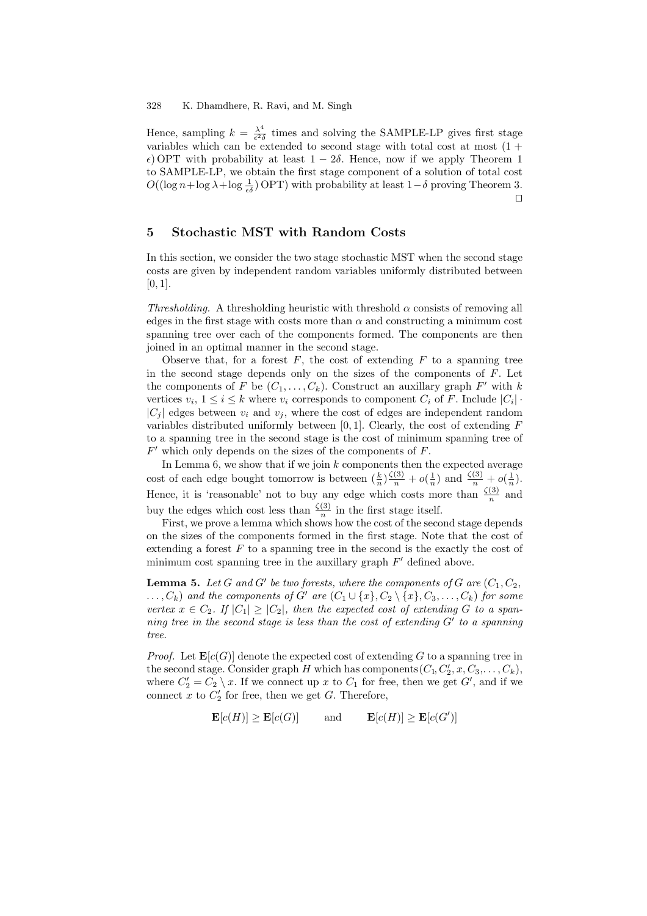Hence, sampling  $k = \frac{\lambda^4}{\epsilon^2 \delta}$  times and solving the SAMPLE-LP gives first stage variables which can be extended to second stage with total cost at most  $(1 +$  $\epsilon$ ) OPT with probability at least  $1 - 2\delta$ . Hence, now if we apply Theorem 1 to SAMPLE-LP, we obtain the first stage component of a solution of total cost  $O((\log n + \log \lambda + \log \frac{1}{\epsilon \delta})$  OPT) with probability at least  $1-\delta$  proving Theorem 3.  $\Box$ 

## **5 Stochastic MST with Random Costs**

In this section, we consider the two stage stochastic MST when the second stage costs are given by independent random variables uniformly distributed between  $[0, 1]$ .

*Thresholding.* A thresholding heuristic with threshold  $\alpha$  consists of removing all edges in the first stage with costs more than  $\alpha$  and constructing a minimum cost spanning tree over each of the components formed. The components are then joined in an optimal manner in the second stage.

Observe that, for a forest  $F$ , the cost of extending  $F$  to a spanning tree in the second stage depends only on the sizes of the components of  $F$ . Let the components of F be  $(C_1,\ldots,C_k)$ . Construct an auxillary graph F' with k vertices  $v_i, 1 \leq i \leq k$  where  $v_i$  corresponds to component  $C_i$  of F. Include  $|C_i|$ .  $|C_i|$  edges between  $v_i$  and  $v_j$ , where the cost of edges are independent random variables distributed uniformly between  $[0, 1]$ . Clearly, the cost of extending  $F$ to a spanning tree in the second stage is the cost of minimum spanning tree of  $F'$  which only depends on the sizes of the components of  $F$ .

In Lemma 6, we show that if we join  $k$  components then the expected average cost of each edge bought tomorrow is between  $(\frac{k}{n})\frac{\zeta(3)}{n}+o(\frac{1}{n})$  and  $\frac{\zeta(3)}{n}+o(\frac{1}{n})$ . Hence, it is 'reasonable' not to buy any edge which costs more than  $\frac{\zeta(3)}{n}$  and buy the edges which cost less than  $\frac{\zeta(3)}{n}$  in the first stage itself.

First, we p[ro](#page-8-0)ve a lemma which shows how the cost of the second stage depends on the sizes of the components formed in the first stage. Note that the cost of extending a forest  $F$  to a spanning tree in the second is the exactly the cost of minimum cost spanning tree in the auxillary graph  $F'$  defined above.

<span id="page-7-0"></span>**Lemma 5.** Let G and G' be two forests, where the components of G are  $(C_1, C_2,$  $\dots, C_k$  *and the components of* G' are  $(C_1 \cup \{x\}, C_2 \setminus \{x\}, C_3, \dots, C_k)$  for some *vertex*  $x \in C_2$ . If  $|C_1| \geq |C_2|$ , then the expected cost of extending G to a span*ning tree in the second stage is less than the cost of extending*  $G'$  to a spanning *tree.*

*Proof.* Let  $\mathbf{E}[c(G)]$  denote the expected cost of extending G to a spanning tree in the second stage. Consider graph H which has components  $(C_1, C'_2, x, C_3, \ldots, C_k)$ , where  $C_2' = C_2 \setminus x$ . If we connect up x to  $C_1$  for free, then we get G', and if we connect  $x$  to  $C_2'$  for free, then we get G. Therefore,

$$
\mathbf{E}[c(H)] \ge \mathbf{E}[c(G)] \quad \text{and} \quad \mathbf{E}[c(H)] \ge \mathbf{E}[c(G')]
$$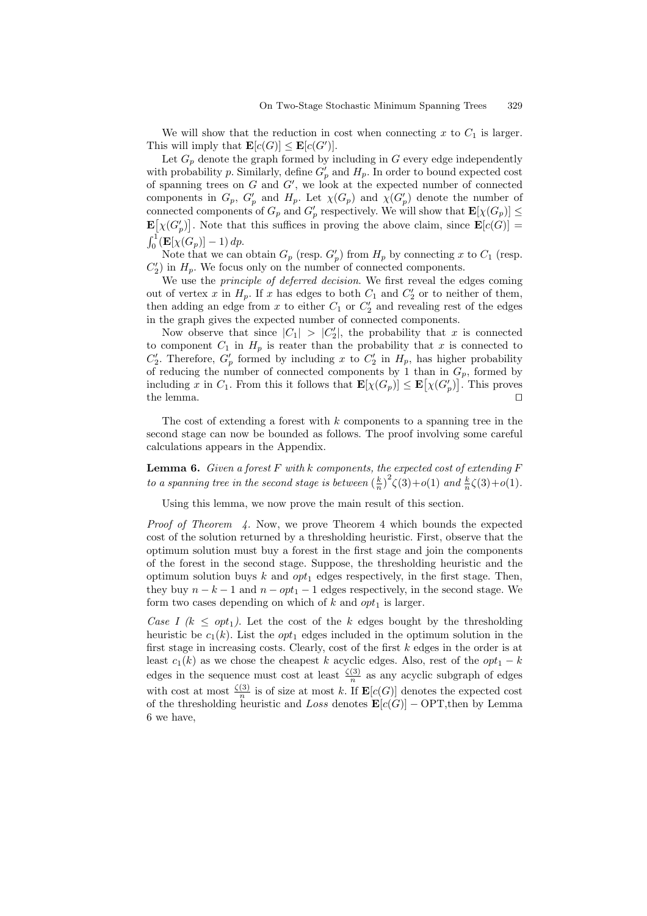We will show that the reduction in cost when connecting x to  $C_1$  is larger. This will imply that  $\mathbf{E}[c(G)] \leq \mathbf{E}[c(G')]$ .

Let  $G_p$  denote the graph formed by including in  $G$  every edge independently with probability p. Similarly, define  $G'_p$  and  $H_p$ . In order to bound expected cost of spanning trees on  $G$  and  $G'$ , we look at the expected number of connected components in  $G_p$ ,  $G'_p$  and  $H_p$ . Let  $\chi(G_p)$  and  $\chi(G'_p)$  denote the number of connected components of  $G_p$  and  $G'_p$  respectively. We will show that  $\mathbf{E}[\chi(G_p)] \leq$  $\mathbf{E}[\chi(G_p')]$ . Note that this suffices in proving the above claim, since  $\mathbf{E}[c(G)] =$  $\int_0^1 (\mathbf{E}[\chi(G_p)] - 1) dp.$ 

Note that we can obtain  $G_p$  (resp.  $G'_p$ ) from  $H_p$  by connecting x to  $C_1$  (resp.  $C_2'$ ) in  $H_p$ . We focus only on the number of connected components.

We use the *principle of deferred decision*. We first reveal the edges coming out of vertex x in  $H_p$ . If x has edges to both  $C_1$  and  $C'_2$  or to neither of them, then adding an edge from x to either  $C_1$  or  $C_2$  and revealing rest of the edges in the graph gives the expected number of connected components.

Now observe that since  $|C_1| > |C_2|$ , the probability that x is connected to component  $C_1$  in  $H_p$  is reater than the probability that x is connected to  $C'_2$ . Therefore,  $G'_p$  formed by including x to  $C'_2$  in  $H_p$ , has higher probability of reducing the number of connected components by 1 than in  $G_p$ , formed by including x in  $C_1$ . From this it follows that  $\mathbf{E}[\chi(G_p)] \leq \mathbf{E}[\chi(G_p')]$ . This proves the lemma.  $\Box$ 

The cost of extending a forest with  $k$  components to a spanning tree in the second stage can now be bounded as follows. The proof involving some careful calculations appears in the Appendix.

**Lemma 6.** *Given a forest* F *with* k *components, the expected cost of extending* F *to a spanning tree in the second stage is between*  $\left(\frac{k}{n}\right)^2 \zeta(3) + o(1)$  *and*  $\frac{k}{n}\zeta(3) + o(1)$ *.* 

<span id="page-8-0"></span>Using this lemma, we now prove the main result of this section.

*Proof of Theorem 4.* Now, we prove Theorem 4 which bounds the expected cost of the solution returned by a thresholding heuristic. First, observe that the optimum solution must buy a forest in the first stage and join the components of the forest in the second stage. Suppose, the thresholding heuristic and the optimum solution [buy](#page-3-1)s k and  $opt_1$  edges respec[tiv](#page-3-1)ely, in the first stage. Then, they buy  $n - k - 1$  and  $n - opt_1 - 1$  edges respectively, in the second stage. We form two cases depending on which of k and  $opt_1$  is larger.

*Case I (k*  $\leq opt_1$ *)*. Let the cost of the k edges bought by the thresholding heuristic be  $c_1(k)$ . List the *opt*<sub>1</sub> edges included in the optimum solution in the first stage in increasing costs. Clearly, cost of the first k edges in the order is at least  $c_1(k)$  as we chose the cheapest k acyclic edges. Also, rest of the  $opt_1 - k$ edges in the sequence must cost at least  $\frac{\zeta(3)}{n}$  as any acyclic subgraph of edges with cost at most  $\frac{\zeta(3)}{n}$  is of size at most k. If  $\mathbf{E}[c(G)]$  denotes the expected cost of the thresholding heuristic and Loss denotes  $\mathbf{E}[c(G)] - \text{OPT}$ , then by Lemma 6 we have,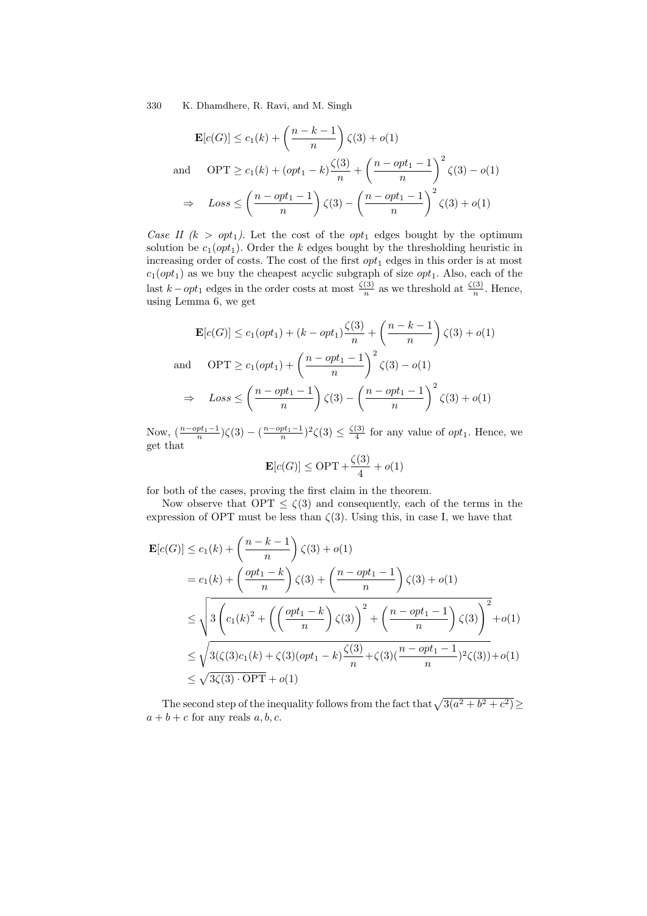330 K. Dhamdhere, R. Ravi, and M. Singh

$$
\mathbf{E}[c(G)] \le c_1(k) + \left(\frac{n-k-1}{n}\right)\zeta(3) + o(1)
$$
  
and 
$$
\text{OPT} \ge c_1(k) + \left(\text{opt}_1 - k\right)\frac{\zeta(3)}{n} + \left(\frac{n-\text{opt}_1 - 1}{n}\right)^2 \zeta(3) - o(1)
$$

$$
\Rightarrow \text{Loss} \le \left(\frac{n-\text{opt}_1 - 1}{n}\right)\zeta(3) - \left(\frac{n-\text{opt}_1 - 1}{n}\right)^2 \zeta(3) + o(1)
$$

*Case II (k > opt<sub>1</sub></sub>).* Let the cost of the *opt<sub>1</sub>* edges bought by the optimum solution be  $c_1(\rho pt_1)$ . Order the k edges bought by the thresholding heuristic in increasing order of costs. The cost of the first  $opt_1$  edges in this order is at most  $c_1(opt_1)$  as we buy the cheapest acyclic subgraph of size  $opt_1$ . Also, each of the last  $k - opt_1$  edges in the order costs at most  $\frac{\zeta(3)}{n}$  as we threshold at  $\frac{\zeta(3)}{n}$ . Hence, using Lemma 6, we get

$$
\mathbf{E}[c(G)] \le c_1(opt_1) + (k - opt_1)\frac{\zeta(3)}{n} + \left(\frac{n-k-1}{n}\right)\zeta(3) + o(1)
$$
  
and 
$$
\text{OPT} \ge c_1(opt_1) + \left(\frac{n - opt_1 - 1}{n}\right)^2 \zeta(3) - o(1)
$$

$$
\Rightarrow \text{Loss} \le \left(\frac{n - opt_1 - 1}{n}\right)\zeta(3) - \left(\frac{n - opt_1 - 1}{n}\right)^2 \zeta(3) + o(1)
$$

Now,  $\left(\frac{n-opt_1-1}{n}\right)\zeta(3)-\left(\frac{n-opt_1-1}{n}\right)^2\zeta(3)\leq \frac{\zeta(3)}{4}$  for any value of  $opt_1$ . Hence, we get that

$$
\mathbf{E}[c(G)] \leq \mathrm{OPT} + \frac{\zeta(3)}{4} + o(1)
$$

for both of the cases, proving the first claim in the theorem.

Now observe that  $OPT \leq \zeta(3)$  and consequently, each of the terms in the expression of OPT must be less than  $\zeta(3)$ . Using this, in case I, we have that

$$
\mathbf{E}[c(G)] \le c_1(k) + \left(\frac{n-k-1}{n}\right)\zeta(3) + o(1)
$$
  
=  $c_1(k) + \left(\frac{opt_1 - k}{n}\right)\zeta(3) + \left(\frac{n - opt_1 - 1}{n}\right)\zeta(3) + o(1)$   

$$
\le \sqrt{3\left(c_1(k)^2 + \left(\left(\frac{opt_1 - k}{n}\right)\zeta(3)\right)^2 + \left(\frac{n - opt_1 - 1}{n}\right)\zeta(3)\right)^2} + o(1)
$$
  

$$
\le \sqrt{3(\zeta(3)c_1(k) + \zeta(3)(opt_1 - k)\frac{\zeta(3)}{n} + \zeta(3)(\frac{n - opt_1 - 1}{n})^2\zeta(3))} + o(1)
$$
  

$$
\le \sqrt{3\zeta(3) \cdot \text{OPT}} + o(1)
$$

The second step of the inequality follows from the fact that  $\sqrt{3(a^2 + b^2 + c^2)} \ge$  $a + b + c$  for any reals  $a, b, c$ .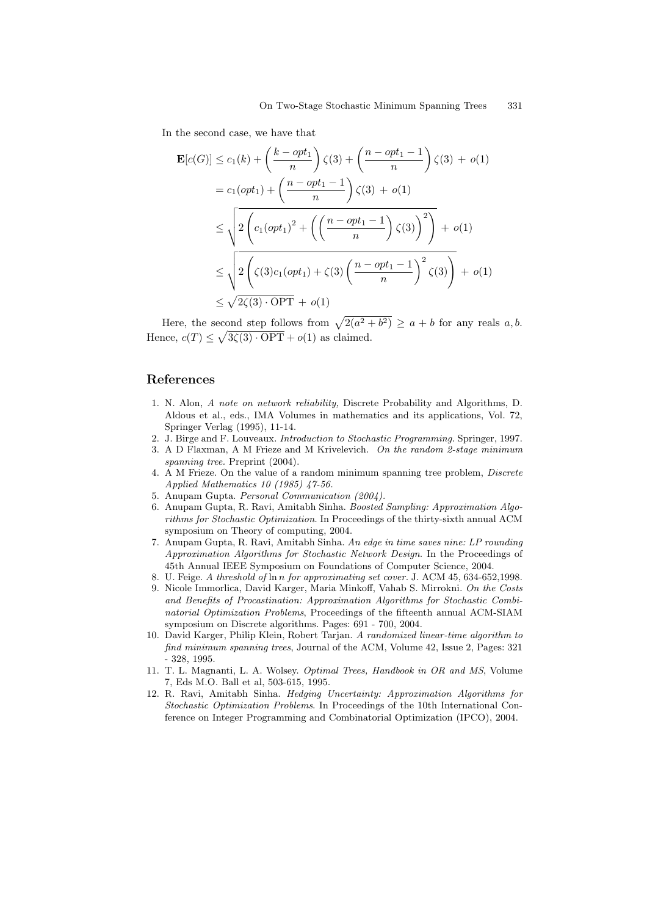In the second case, we have that

$$
\mathbf{E}[c(G)] \le c_1(k) + \left(\frac{k - opt_1}{n}\right)\zeta(3) + \left(\frac{n - opt_1 - 1}{n}\right)\zeta(3) + o(1)
$$
  
\n
$$
= c_1(opt_1) + \left(\frac{n - opt_1 - 1}{n}\right)\zeta(3) + o(1)
$$
  
\n
$$
\le \sqrt{2\left(c_1(opt_1)^2 + \left(\left(\frac{n - opt_1 - 1}{n}\right)\zeta(3)\right)^2\right)} + o(1)
$$
  
\n
$$
\le \sqrt{2\left(\zeta(3)c_1(opt_1) + \zeta(3)\left(\frac{n - opt_1 - 1}{n}\right)^2\zeta(3)\right)} + o(1)
$$
  
\n
$$
\le \sqrt{2\zeta(3) \cdot OPT} + o(1)
$$

Here, the second step follows from  $\sqrt{2(a^2 + b^2)} \ge a + b$  for any reals a, b. Hence,  $c(T) \leq \sqrt{3\zeta(3) \cdot \text{OPT}} + o(1)$  as claimed.

# <span id="page-10-8"></span>**References**

- 1. N. Alon, *A note on network reliability,* Discrete Probability and Algorithms, D. Aldous et al., eds., IMA Volumes in mathematics and its applications, Vol. 72, Springer Verlag (1995), 11-14.
- <span id="page-10-6"></span><span id="page-10-0"></span>2. J. Birge and F. Louveaux. *Introduction to Stochastic Programming.* Springer, 1997.
- 3. A D Flaxman, A M Frieze and M Krivelevich. *On the random 2-stage minimum spanning tree.* Preprint (2004).
- 4. A M Frieze. On the value of a random minimum spanning tree problem, *Discrete Applied Mathematics 10 (1985) 47-56.*
- <span id="page-10-7"></span><span id="page-10-1"></span>5. Anupam Gupta. *Personal Communication (2004).*
- 6. Anupam Gupta, R. Ravi, Amitabh Sinha. *Boosted Sampling: Approximation Algorithms for Stochastic Optimization*. In Proceedings of the thirty-sixth annual ACM symposium on Theory of computing, 2004.
- <span id="page-10-2"></span>7. Anupam Gupta, R. Ravi, Amitabh Sinha. *An edge in time saves nine: LP rounding Approximation Algorithms for Stochastic Network Design*. In the Proceedings of 45th Annual IEEE Symposium on Foundations of Computer Science, 2004.
- <span id="page-10-3"></span>8. U. Feige. *A threshold of* ln *n for approximating set cover.* J. ACM 45, 634-652,1998.
- 9. Nicole Immorlica, David Karger, Maria Minkoff, Vahab S. Mirrokni. *On the Costs and Benefits of Procastination: Approximation Algorithms for Stochastic Combinatorial Optimization Problems*, Proceedings of the fifteenth annual ACM-SIAM symposium on Discrete algorithms. Pages: 691 - 700, 2004.
- <span id="page-10-5"></span>10. David Karger, Philip Klein, Robert Tarjan. *A randomized linear-time algorithm to find minimum spanning trees*, Journal of the ACM, Volume 42, Issue 2, Pages: 321 - 328, 1995.
- <span id="page-10-9"></span>11. T. L. Magnanti, L. A. Wolsey. *Optimal Trees, Handbook in OR and MS*, Volume 7, Eds M.O. Ball et al, 503-615, 1995.
- <span id="page-10-4"></span>12. R. Ravi, Amitabh Sinha. *Hedging Uncertainty: Approximation Algorithms for Stochastic Optimization Problems*. In Proceedings of the 10th International Conference on Integer Programming and Combinatorial Optimization (IPCO), 2004.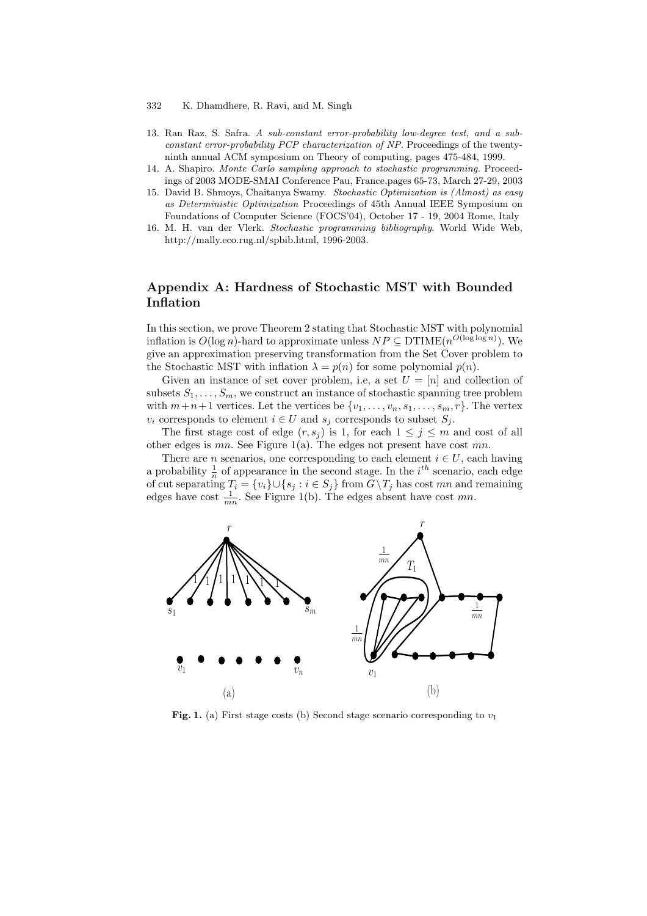#### 332 K. Dhamdhere, R. Ravi, and M. Singh

- 13. Ran Raz, S. Safra. *A sub-constant error-probability low-degree test, and a subconstant error-probability PCP characterization of NP.* Proceedings of the twentyninth annual ACM symposium on Theory of computing, pages 475-484, 1999.
- 14. A. Shapiro. *Monte Carlo sampling approach to stochastic programming.* Proceedings of 2003 MODE-SMAI Conference Pau, France,pages 65-73, March 27-29, 2003
- 15. David B. Shmoys, Chaitanya Swamy. *Stochastic Optimization is (Almost) as easy as Deterministic Optimization* Proceedings of 45th Annual IEEE Symposium on Foundations of Computer Science (FOCS'04), October 17 - 19, 2004 Rome, Italy
- <span id="page-11-2"></span><span id="page-11-1"></span>16. M. H. van der Vlerk. *Stochastic programming bibliography*. World Wide Web, http://mally.eco.rug.nl/spbib.html, 1996-2003.

# <span id="page-11-0"></span>**Appendix A: Hardness of Stochastic MST with Bounded Inflation**

In this section, we prove Theorem 2 stating that Stochastic MST with polynomial inflation is  $O(\log n)$ -hard to approximate unless  $NP \subseteq DTIME(n^{O(\log \log n)})$ . We give an approximation preserving transformation from the Set Cover problem to the Stochastic MST with inflation  $\lambda = p(n)$  for some polynomial  $p(n)$ .

Given an instance of set cove[r](#page-2-0) problem, i.e, a set  $U = [n]$  and collection of subsets  $S_1, \ldots, S_m$ , we construct an instance of stochastic spanning tree problem with  $m+n+1$  vertices. Let the vertices be  $\{v_1,\ldots,v_n,s_1,\ldots,s_m,r\}$ . The vertex  $v_i$  corresponds to element  $i \in U$  and  $s_j$  corresponds to subset  $S_j$ .

The first stage cost of edge  $(r, s_j)$  is 1, for each  $1 \leq j \leq m$  and cost of all other edges is  $mn$ . See Figure 1(a). The edges not present have cost  $mn$ .

There are *n* scenarios, one corresponding to each element  $i \in U$ , each having a probability  $\frac{1}{n}$  of appearance in the second stage. In the  $i^{th}$  scenario, each edge of cut separating  $T_i = \{v_i\} \cup \{s_j : i \in S_j\}$  from  $G \setminus T_j$  has cost mn and remaining edges have cost  $\frac{1}{mn}$ . See Figu[re](#page-11-3) 1(b). The edges absent have cost mn.



<span id="page-11-3"></span>**Fig. 1.** (a) First stage costs (b) Second stage scenario corresponding to  $v_1$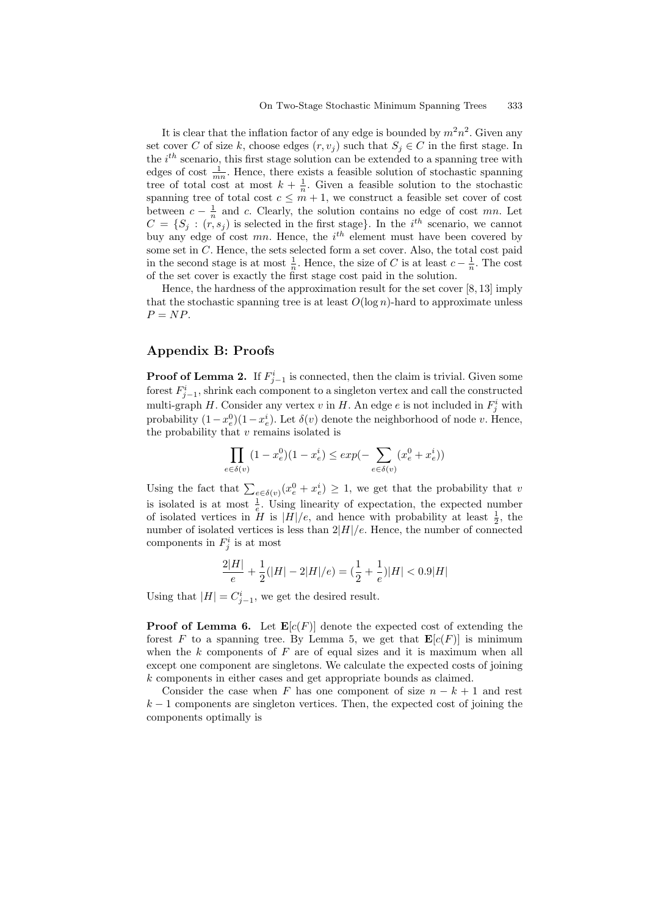It is clear that the inflation factor of any edge is bounded by  $m^2n^2$ . Given any set cover C of size k, choose edges  $(r, v_i)$  such that  $S_i \in C$  in the first stage. In the  $i^{th}$  scenario, this first stage solution can be extended to a spanning tree with edges of cost  $\frac{1}{mn}$ . Hence, there exists a feasible solution of stochastic spanning tree of total cost at most  $k + \frac{1}{n}$ . Given a feasible solution to the stochastic spanning tree of total cost  $c \leq m+1$ , we construct a feasible set cover of cost between  $c - \frac{1}{n}$  and c. Clearly, the solution contains no edge of cost mn. Let  $C = \{S_j : (r, s_j)$  is selected in the first stage. In the i<sup>th</sup> scenario, we cannot buy any edge of cost  $mn$ . Hence, the  $i^{th}$  element must have been covered by some set in C. Hence, the sets selected form a set cover. Also, the total cost paid in the second stage is at most  $\frac{1}{n}$ . Hence, the size of C is at least  $c - \frac{1}{n}$ . The cost of the set cover is exactly the first stage cost paid in the solution.

Hence, the hardness of the approximation result for the set cover [8, 13] imply that the stochastic spanning tree is at least  $O(\log n)$ -hard to approximate unless  $P = NP$ .

# **Appendix B: Proofs**

**Proof of Lemma 2.** If  $F_{j-1}^i$  is connected, then the claim is trivial. Given some forest  $F_{j-1}^i$ , shrink each component to a singleton vertex and call the constructed multi-graph H. Consider any vertex  $v$  in H. An edge  $e$  is not included in  $F_j^i$  with probability  $(1-x_e^0)(1-x_e^i)$ . Let  $\delta(v)$  denote the neighborhood of node v. Hence, the probability th[at](#page-4-0)  $v$  remains isolated is

$$
\prod_{e\in\delta(v)}(1-x^0_e)(1-x^i_e)\leq \exp(-\sum_{e\in\delta(v)}(x^0_e+x^i_e))
$$

Using the fact that  $\sum_{e \in \delta(v)} (x_e^0 + x_e^i) \geq 1$ , we get that the probability that v is isolated is at most  $\frac{1}{e}$ . Using linearity of expectation, the expected number of isolated vertices in  $H$  is  $|H|/e$ , and hence with probability at least  $\frac{1}{2}$ , the number of isolated vertices is less than  $2|H|/e$ . Hence, the number of connected components in  $F_j^i$  is at most

$$
\frac{2|H|}{e} + \frac{1}{2}(|H| - 2|H|/e) = (\frac{1}{2} + \frac{1}{e})|H| < 0.9|H|
$$

Using that  $|H| = C_{j-1}^i$ , we get the desired result.

**Proof of Lemma 6.** Let  $\mathbf{E}[c(F)]$  denote the expected cost of extending the forest F to a spanning tree. By Lemma 5, we get that  $\mathbf{E}[c(F)]$  is minimum when the  $k$  components of  $F$  are of equal sizes and it is maximum when all except one component are singletons. We calculate the expected costs of joining k components in ei[the](#page-8-0)r cases and get appropriate bounds as claimed.

Consider the case when F has one co[m](#page-7-0)ponent of size  $n - k + 1$  and rest  $k-1$  components are singleton vertices. Then, the expected cost of joining the components optimally is